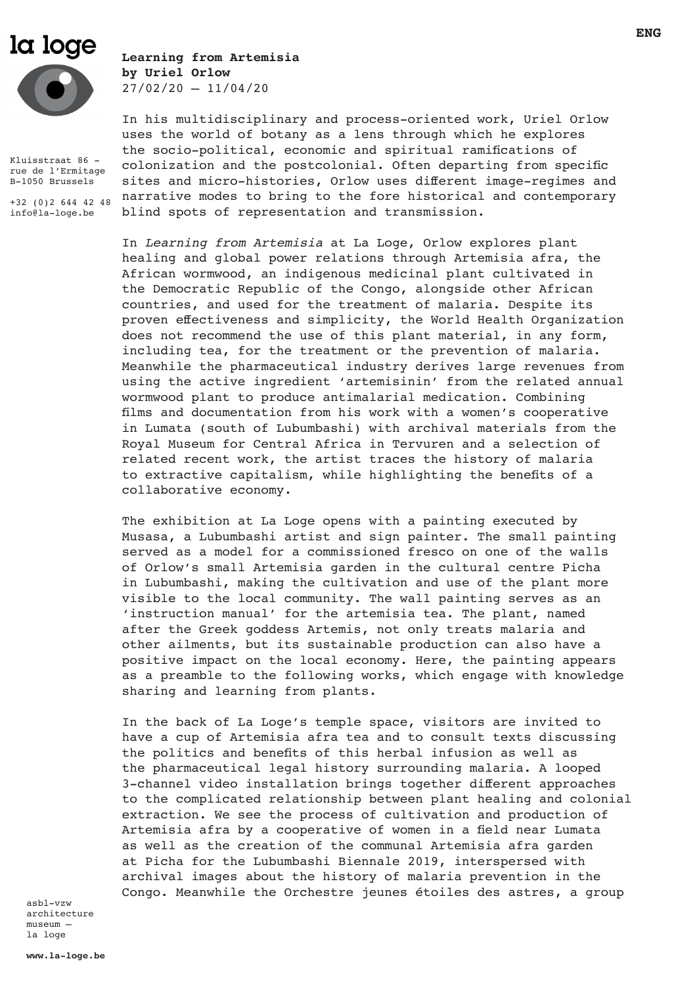# la loge



Kluisstraat 86 rue de l'Ermitage B-1050 Brussels

+32 (0)2 644 42 48 info@la-loge.be

**Learning from Artemisia by Uriel Orlow**  $27/02/20 - 11/04/20$ 

In his multidisciplinary and process-oriented work, Uriel Orlow uses the world of botany as a lens through which he explores the socio-political, economic and spiritual ramifications of colonization and the postcolonial. Often departing from specific sites and micro-histories, Orlow uses different image-regimes and narrative modes to bring to the fore historical and contemporary blind spots of representation and transmission.

In *Learning from Artemisia* at La Loge, Orlow explores plant healing and global power relations through Artemisia afra, the African wormwood, an indigenous medicinal plant cultivated in the Democratic Republic of the Congo, alongside other African countries, and used for the treatment of malaria. Despite its proven effectiveness and simplicity, the World Health Organization does not recommend the use of this plant material, in any form, including tea, for the treatment or the prevention of malaria. Meanwhile the pharmaceutical industry derives large revenues from using the active ingredient 'artemisinin' from the related annual wormwood plant to produce antimalarial medication. Combining films and documentation from his work with a women's cooperative in Lumata (south of Lubumbashi) with archival materials from the Royal Museum for Central Africa in Tervuren and a selection of related recent work, the artist traces the history of malaria to extractive capitalism, while highlighting the benefits of a collaborative economy.

The exhibition at La Loge opens with a painting executed by Musasa, a Lubumbashi artist and sign painter. The small painting served as a model for a commissioned fresco on one of the walls of Orlow's small Artemisia garden in the cultural centre Picha in Lubumbashi, making the cultivation and use of the plant more visible to the local community. The wall painting serves as an 'instruction manual' for the artemisia tea. The plant, named after the Greek goddess Artemis, not only treats malaria and other ailments, but its sustainable production can also have a positive impact on the local economy. Here, the painting appears as a preamble to the following works, which engage with knowledge sharing and learning from plants.

In the back of La Loge's temple space, visitors are invited to have a cup of Artemisia afra tea and to consult texts discussing the politics and benefits of this herbal infusion as well as the pharmaceutical legal history surrounding malaria. A looped 3-channel video installation brings together different approaches to the complicated relationship between plant healing and colonial extraction. We see the process of cultivation and production of Artemisia afra by a cooperative of women in a field near Lumata as well as the creation of the communal Artemisia afra garden at Picha for the Lubumbashi Biennale 2019, interspersed with archival images about the history of malaria prevention in the Congo. Meanwhile the Orchestre jeunes étoiles des astres, a group

asbl-vzw architecture museum – la loge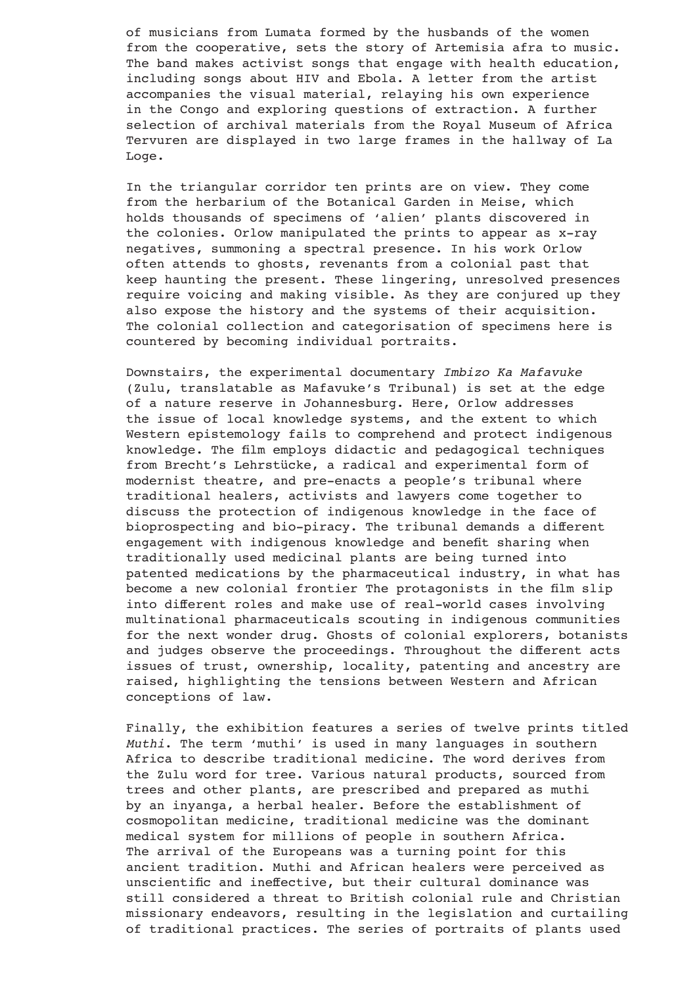of musicians from Lumata formed by the husbands of the women from the cooperative, sets the story of Artemisia afra to music. The band makes activist songs that engage with health education, including songs about HIV and Ebola. A letter from the artist accompanies the visual material, relaying his own experience in the Congo and exploring questions of extraction. A further selection of archival materials from the Royal Museum of Africa Tervuren are displayed in two large frames in the hallway of La Loge.

In the triangular corridor ten prints are on view. They come from the herbarium of the Botanical Garden in Meise, which holds thousands of specimens of 'alien' plants discovered in the colonies. Orlow manipulated the prints to appear as x-ray negatives, summoning a spectral presence. In his work Orlow often attends to ghosts, revenants from a colonial past that keep haunting the present. These lingering, unresolved presences require voicing and making visible. As they are conjured up they also expose the history and the systems of their acquisition. The colonial collection and categorisation of specimens here is countered by becoming individual portraits.

Downstairs, the experimental documentary *Imbizo Ka Mafavuke*  (Zulu, translatable as Mafavuke's Tribunal) is set at the edge of a nature reserve in Johannesburg. Here, Orlow addresses the issue of local knowledge systems, and the extent to which Western epistemology fails to comprehend and protect indigenous knowledge. The film employs didactic and pedagogical techniques from Brecht's Lehrstücke, a radical and experimental form of modernist theatre, and pre-enacts a people's tribunal where traditional healers, activists and lawyers come together to discuss the protection of indigenous knowledge in the face of bioprospecting and bio-piracy. The tribunal demands a different engagement with indigenous knowledge and benefit sharing when traditionally used medicinal plants are being turned into patented medications by the pharmaceutical industry, in what has become a new colonial frontier The protagonists in the film slip into different roles and make use of real-world cases involving multinational pharmaceuticals scouting in indigenous communities for the next wonder drug. Ghosts of colonial explorers, botanists and judges observe the proceedings. Throughout the different acts issues of trust, ownership, locality, patenting and ancestry are raised, highlighting the tensions between Western and African conceptions of law.

Finally, the exhibition features a series of twelve prints titled *Muthi*. The term 'muthi' is used in many languages in southern Africa to describe traditional medicine. The word derives from the Zulu word for tree. Various natural products, sourced from trees and other plants, are prescribed and prepared as muthi by an inyanga, a herbal healer. Before the establishment of cosmopolitan medicine, traditional medicine was the dominant medical system for millions of people in southern Africa. The arrival of the Europeans was a turning point for this ancient tradition. Muthi and African healers were perceived as unscientific and ineffective, but their cultural dominance was still considered a threat to British colonial rule and Christian missionary endeavors, resulting in the legislation and curtailing of traditional practices. The series of portraits of plants used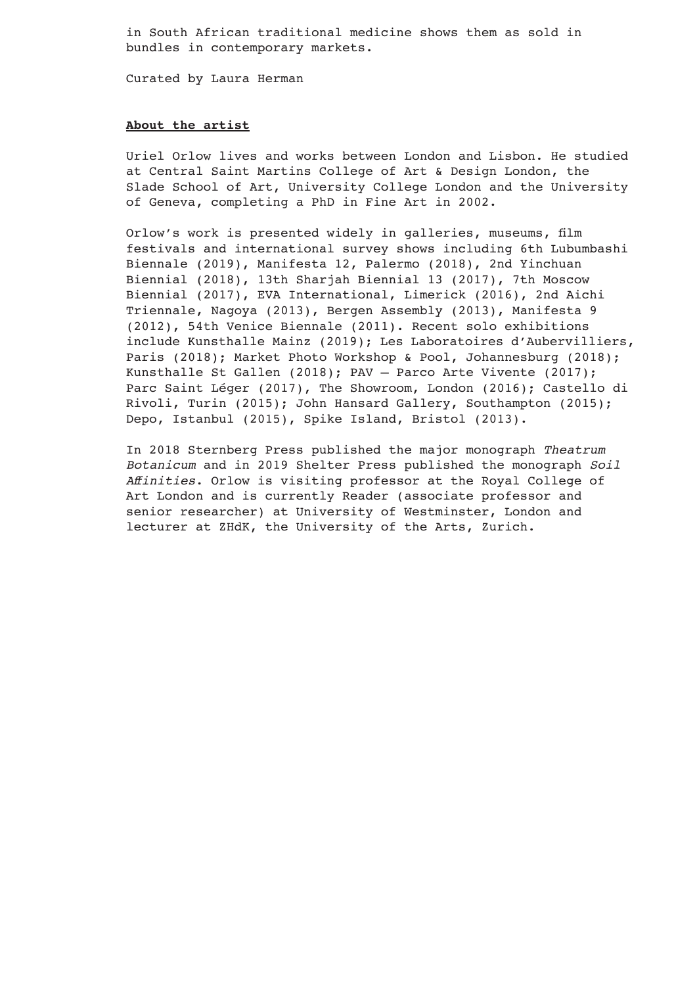in South African traditional medicine shows them as sold in bundles in contemporary markets.

Curated by Laura Herman

#### **About the artist**

Uriel Orlow lives and works between London and Lisbon. He studied at Central Saint Martins College of Art & Design London, the Slade School of Art, University College London and the University of Geneva, completing a PhD in Fine Art in 2002.

Orlow's work is presented widely in galleries, museums, film festivals and international survey shows including 6th Lubumbashi Biennale (2019), Manifesta 12, Palermo (2018), 2nd Yinchuan Biennial (2018), 13th Sharjah Biennial 13 (2017), 7th Moscow Biennial (2017), EVA International, Limerick (2016), 2nd Aichi Triennale, Nagoya (2013), Bergen Assembly (2013), Manifesta 9 (2012), 54th Venice Biennale (2011). Recent solo exhibitions include Kunsthalle Mainz (2019); Les Laboratoires d'Aubervilliers, Paris (2018); Market Photo Workshop & Pool, Johannesburg (2018); Kunsthalle St Gallen (2018); PAV – Parco Arte Vivente (2017); Parc Saint Léger (2017), The Showroom, London (2016); Castello di Rivoli, Turin (2015); John Hansard Gallery, Southampton (2015); Depo, Istanbul (2015), Spike Island, Bristol (2013).

In 2018 Sternberg Press published the major monograph *Theatrum Botanicum* and in 2019 Shelter Press published the monograph *Soil Affinities*. Orlow is visiting professor at the Royal College of Art London and is currently Reader (associate professor and senior researcher) at University of Westminster, London and lecturer at ZHdK, the University of the Arts, Zurich.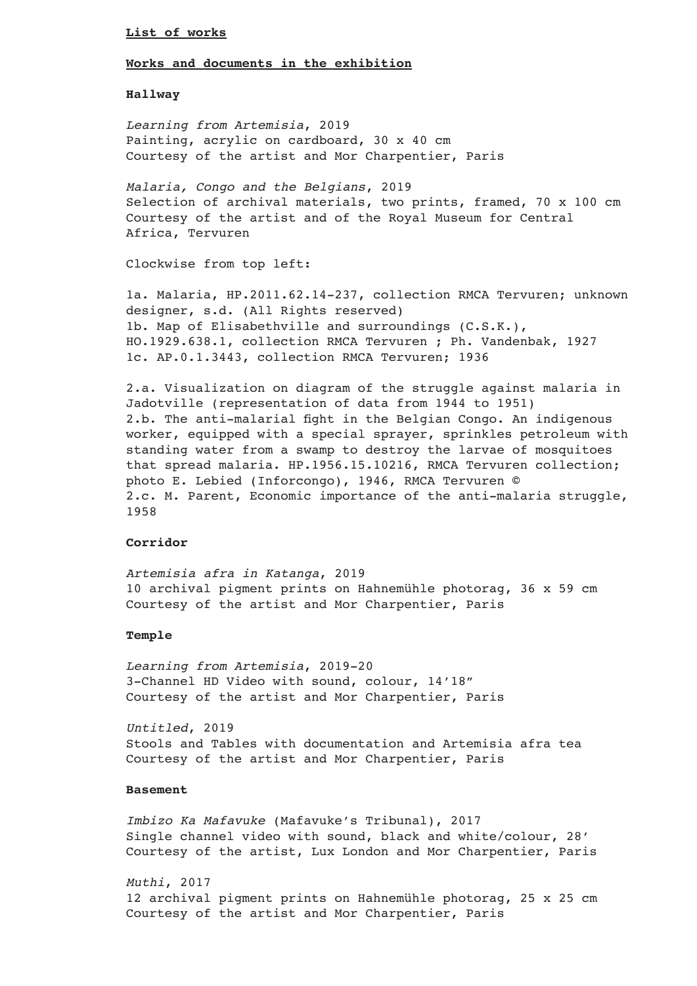#### **List of works**

## **Works and documents in the exhibition**

#### **Hallway**

*Learning from Artemisia*, 2019 Painting, acrylic on cardboard, 30 x 40 cm Courtesy of the artist and Mor Charpentier, Paris

*Malaria, Congo and the Belgians*, 2019 Selection of archival materials, two prints, framed, 70 x 100 cm Courtesy of the artist and of the Royal Museum for Central Africa, Tervuren

Clockwise from top left:

1a. Malaria, HP.2011.62.14-237, collection RMCA Tervuren; unknown designer, s.d. (All Rights reserved) 1b. Map of Elisabethville and surroundings (C.S.K.), HO.1929.638.1, collection RMCA Tervuren ; Ph. Vandenbak, 1927 1c. AP.0.1.3443, collection RMCA Tervuren; 1936

2.a. Visualization on diagram of the struggle against malaria in Jadotville (representation of data from 1944 to 1951) 2.b. The anti-malarial fight in the Belgian Congo. An indigenous worker, equipped with a special sprayer, sprinkles petroleum with standing water from a swamp to destroy the larvae of mosquitoes that spread malaria. HP.1956.15.10216, RMCA Tervuren collection; photo E. Lebied (Inforcongo), 1946, RMCA Tervuren © 2.c. M. Parent, Economic importance of the anti-malaria struggle, 1958

#### **Corridor**

*Artemisia afra in Katanga*, 2019 10 archival pigment prints on Hahnemühle photorag, 36 x 59 cm Courtesy of the artist and Mor Charpentier, Paris

# **Temple**

*Learning from Artemisia*, 2019-20 3-Channel HD Video with sound, colour, 14'18" Courtesy of the artist and Mor Charpentier, Paris

*Untitled*, 2019 Stools and Tables with documentation and Artemisia afra tea Courtesy of the artist and Mor Charpentier, Paris

# **Basement**

*Imbizo Ka Mafavuke* (Mafavuke's Tribunal), 2017 Single channel video with sound, black and white/colour, 28' Courtesy of the artist, Lux London and Mor Charpentier, Paris

*Muthi*, 2017 12 archival pigment prints on Hahnemühle photorag, 25 x 25 cm Courtesy of the artist and Mor Charpentier, Paris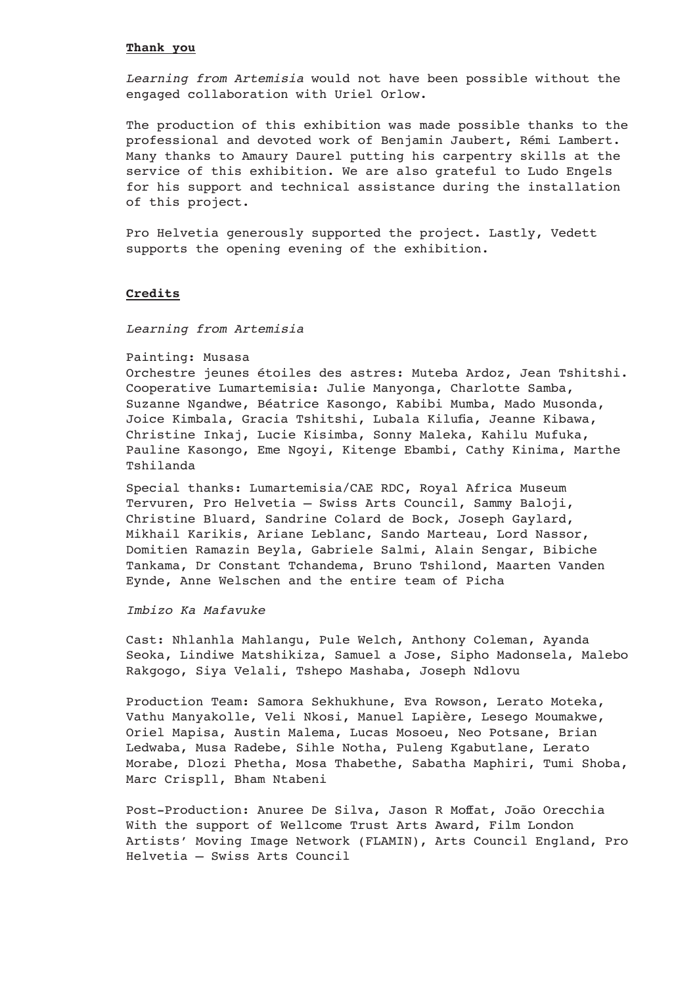#### **Thank you**

*Learning from Artemisia* would not have been possible without the engaged collaboration with Uriel Orlow.

The production of this exhibition was made possible thanks to the professional and devoted work of Benjamin Jaubert, Rémi Lambert. Many thanks to Amaury Daurel putting his carpentry skills at the service of this exhibition. We are also grateful to Ludo Engels for his support and technical assistance during the installation of this project.

Pro Helvetia generously supported the project. Lastly, Vedett supports the opening evening of the exhibition.

#### **Credits**

*Learning from Artemisia*

#### Painting: Musasa

Orchestre jeunes étoiles des astres: Muteba Ardoz, Jean Tshitshi. Cooperative Lumartemisia: Julie Manyonga, Charlotte Samba, Suzanne Ngandwe, Béatrice Kasongo, Kabibi Mumba, Mado Musonda, Joice Kimbala, Gracia Tshitshi, Lubala Kilufia, Jeanne Kibawa, Christine Inkaj, Lucie Kisimba, Sonny Maleka, Kahilu Mufuka, Pauline Kasongo, Eme Ngoyi, Kitenge Ebambi, Cathy Kinima, Marthe Tshilanda

Special thanks: Lumartemisia/CAE RDC, Royal Africa Museum Tervuren, Pro Helvetia – Swiss Arts Council, Sammy Baloji, Christine Bluard, Sandrine Colard de Bock, Joseph Gaylard, Mikhail Karikis, Ariane Leblanc, Sando Marteau, Lord Nassor, Domitien Ramazin Beyla, Gabriele Salmi, Alain Sengar, Bibiche Tankama, Dr Constant Tchandema, Bruno Tshilond, Maarten Vanden Eynde, Anne Welschen and the entire team of Picha

### *Imbizo Ka Mafavuke*

Cast: Nhlanhla Mahlangu, Pule Welch, Anthony Coleman, Ayanda Seoka, Lindiwe Matshikiza, Samuel a Jose, Sipho Madonsela, Malebo Rakgogo, Siya Velali, Tshepo Mashaba, Joseph Ndlovu

Production Team: Samora Sekhukhune, Eva Rowson, Lerato Moteka, Vathu Manyakolle, Veli Nkosi, Manuel Lapière, Lesego Moumakwe, Oriel Mapisa, Austin Malema, Lucas Mosoeu, Neo Potsane, Brian Ledwaba, Musa Radebe, Sihle Notha, Puleng Kgabutlane, Lerato Morabe, Dlozi Phetha, Mosa Thabethe, Sabatha Maphiri, Tumi Shoba, Marc Crispll, Bham Ntabeni

Post-Production: Anuree De Silva, Jason R Moffat, João Orecchia With the support of Wellcome Trust Arts Award, Film London Artists' Moving Image Network (FLAMIN), Arts Council England, Pro Helvetia – Swiss Arts Council